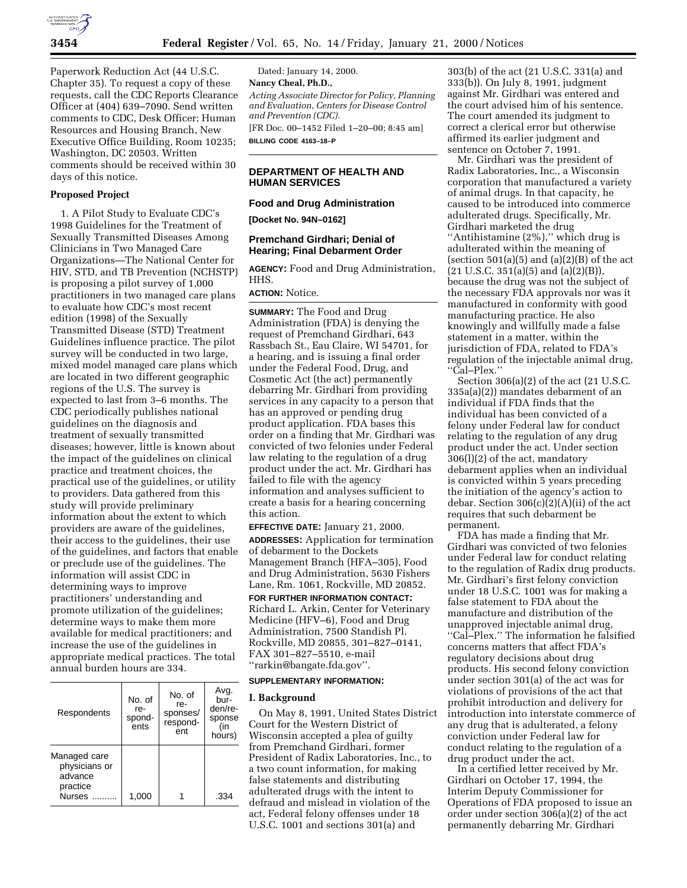Paperwork Reduction Act (44 U.S.C. Chapter 35). To request a copy of these requests, call the CDC Reports Clearance Officer at (404) 639–7090. Send written comments to CDC, Desk Officer; Human Resources and Housing Branch, New Executive Office Building, Room 10235; Washington, DC 20503. Written comments should be received within 30 days of this notice.

### **Proposed Project**

1. A Pilot Study to Evaluate CDC's 1998 Guidelines for the Treatment of Sexually Transmitted Diseases Among Clinicians in Two Managed Care Organizations—The National Center for HIV, STD, and TB Prevention (NCHSTP) is proposing a pilot survey of 1,000 practitioners in two managed care plans to evaluate how CDC's most recent edition (1998) of the Sexually Transmitted Disease (STD) Treatment Guidelines influence practice. The pilot survey will be conducted in two large, mixed model managed care plans which are located in two different geographic regions of the U.S. The survey is expected to last from 3–6 months. The CDC periodically publishes national guidelines on the diagnosis and treatment of sexually transmitted diseases; however, little is known about the impact of the guidelines on clinical practice and treatment choices, the practical use of the guidelines, or utility to providers. Data gathered from this study will provide preliminary information about the extent to which providers are aware of the guidelines, their access to the guidelines, their use of the guidelines, and factors that enable or preclude use of the guidelines. The information will assist CDC in determining ways to improve practitioners' understanding and promote utilization of the guidelines; determine ways to make them more available for medical practitioners; and increase the use of the guidelines in appropriate medical practices. The total annual burden hours are 334.

| Respondents                                                    | No. of<br>re-<br>spond-<br>ents | No. of<br>re-<br>sponses/<br>respond-<br>ent | Avg.<br>bur-<br>den/re-<br>sponse<br>(in<br>hours) |
|----------------------------------------------------------------|---------------------------------|----------------------------------------------|----------------------------------------------------|
| Managed care<br>physicians or<br>advance<br>practice<br>Nurses | 1,000                           |                                              | .334                                               |

Dated: January 14, 2000. **Nancy Cheal, Ph.D.,** *Acting Associate Director for Policy, Planning and Evaluation, Centers for Disease Control and Prevention (CDC).* [FR Doc. 00–1452 Filed 1–20–00; 8:45 am]

**BILLING CODE 4163–18–P**

# **DEPARTMENT OF HEALTH AND HUMAN SERVICES**

### **Food and Drug Administration**

**[Docket No. 94N–0162]**

## **Premchand Girdhari; Denial of Hearing; Final Debarment Order**

**AGENCY:** Food and Drug Administration, HHS.

## **ACTION:** Notice.

**SUMMARY:** The Food and Drug Administration (FDA) is denying the request of Premchand Girdhari, 643 Rassbach St., Eau Claire, WI 54701, for a hearing, and is issuing a final order under the Federal Food, Drug, and Cosmetic Act (the act) permanently debarring Mr. Girdhari from providing services in any capacity to a person that has an approved or pending drug product application. FDA bases this order on a finding that Mr. Girdhari was convicted of two felonies under Federal law relating to the regulation of a drug product under the act. Mr. Girdhari has failed to file with the agency information and analyses sufficient to create a basis for a hearing concerning this action.

**EFFECTIVE DATE:** January 21, 2000.

**ADDRESSES:** Application for termination of debarment to the Dockets Management Branch (HFA–305), Food and Drug Administration, 5630 Fishers Lane, Rm. 1061, Rockville, MD 20852.

# **FOR FURTHER INFORMATION CONTACT:**

Richard L. Arkin, Center for Veterinary Medicine (HFV–6), Food and Drug Administration, 7500 Standish Pl. Rockville, MD 20855, 301–827–0141, FAX 301–827–5510, e-mail ''rarkin@bangate.fda.gov''.

#### **SUPPLEMENTARY INFORMATION:**

#### **I. Background**

On May 8, 1991, United States District Court for the Western District of Wisconsin accepted a plea of guilty from Premchand Girdhari, former President of Radix Laboratories, Inc., to a two count information, for making false statements and distributing adulterated drugs with the intent to defraud and mislead in violation of the act, Federal felony offenses under 18 U.S.C. 1001 and sections 301(a) and

303(b) of the act (21 U.S.C. 331(a) and 333(b)). On July 8, 1991, judgment against Mr. Girdhari was entered and the court advised him of his sentence. The court amended its judgment to correct a clerical error but otherwise affirmed its earlier judgment and sentence on October 7, 1991.

Mr. Girdhari was the president of Radix Laboratories, Inc., a Wisconsin corporation that manufactured a variety of animal drugs. In that capacity, he caused to be introduced into commerce adulterated drugs. Specifically, Mr. Girdhari marketed the drug ''Antihistamine (2%),'' which drug is adulterated within the meaning of (section  $501(a)(5)$  and  $(a)(2)(B)$  of the act  $(21 \text{ U.S.C. } 351(a)(5) \text{ and } (a)(2)(B)),$ because the drug was not the subject of the necessary FDA approvals nor was it manufactured in conformity with good manufacturing practice. He also knowingly and willfully made a false statement in a matter, within the jurisdiction of FDA, related to FDA's regulation of the injectable animal drug, ''Cal–Plex.''

Section 306(a)(2) of the act (21 U.S.C. 335a(a)(2)) mandates debarment of an individual if FDA finds that the individual has been convicted of a felony under Federal law for conduct relating to the regulation of any drug product under the act. Under section 306(l)(2) of the act, mandatory debarment applies when an individual is convicted within 5 years preceding the initiation of the agency's action to debar. Section 306(c)(2)(A)(ii) of the act requires that such debarment be permanent.

FDA has made a finding that Mr. Girdhari was convicted of two felonies under Federal law for conduct relating to the regulation of Radix drug products. Mr. Girdhari's first felony conviction under 18 U.S.C. 1001 was for making a false statement to FDA about the manufacture and distribution of the unapproved injectable animal drug, ''Cal–Plex.'' The information he falsified concerns matters that affect FDA's regulatory decisions about drug products. His second felony conviction under section 301(a) of the act was for violations of provisions of the act that prohibit introduction and delivery for introduction into interstate commerce of any drug that is adulterated, a felony conviction under Federal law for conduct relating to the regulation of a drug product under the act.

In a certified letter received by Mr. Girdhari on October 17, 1994, the Interim Deputy Commissioner for Operations of FDA proposed to issue an order under section 306(a)(2) of the act permanently debarring Mr. Girdhari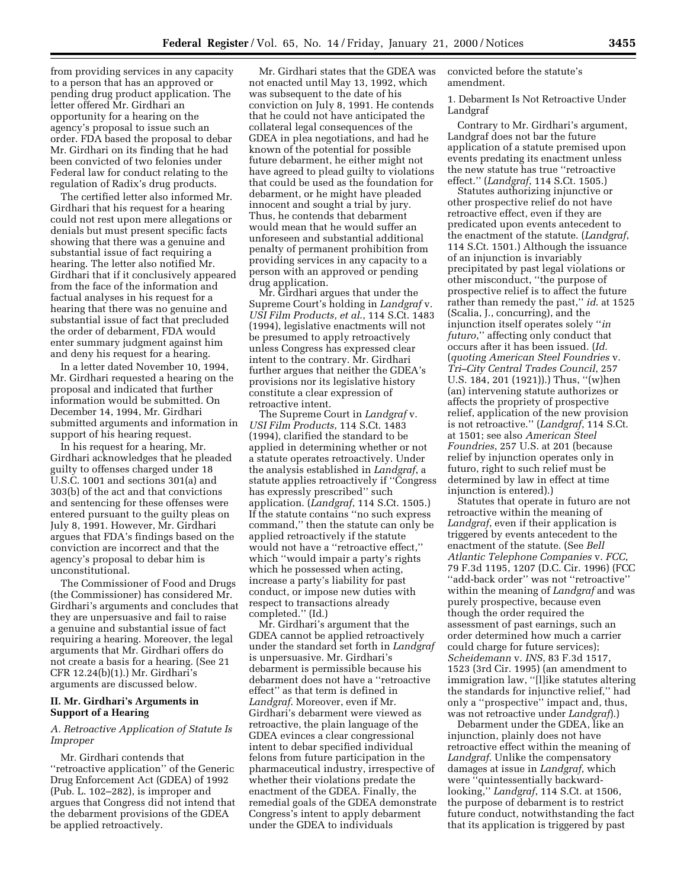from providing services in any capacity to a person that has an approved or pending drug product application. The letter offered Mr. Girdhari an opportunity for a hearing on the agency's proposal to issue such an order. FDA based the proposal to debar Mr. Girdhari on its finding that he had been convicted of two felonies under Federal law for conduct relating to the regulation of Radix's drug products.

The certified letter also informed Mr. Girdhari that his request for a hearing could not rest upon mere allegations or denials but must present specific facts showing that there was a genuine and substantial issue of fact requiring a hearing. The letter also notified Mr. Girdhari that if it conclusively appeared from the face of the information and factual analyses in his request for a hearing that there was no genuine and substantial issue of fact that precluded the order of debarment, FDA would enter summary judgment against him and deny his request for a hearing.

In a letter dated November 10, 1994, Mr. Girdhari requested a hearing on the proposal and indicated that further information would be submitted. On December 14, 1994, Mr. Girdhari submitted arguments and information in support of his hearing request.

In his request for a hearing, Mr. Girdhari acknowledges that he pleaded guilty to offenses charged under 18 U.S.C. 1001 and sections 301(a) and 303(b) of the act and that convictions and sentencing for these offenses were entered pursuant to the guilty pleas on July 8, 1991. However, Mr. Girdhari argues that FDA's findings based on the conviction are incorrect and that the agency's proposal to debar him is unconstitutional.

The Commissioner of Food and Drugs (the Commissioner) has considered Mr. Girdhari's arguments and concludes that they are unpersuasive and fail to raise a genuine and substantial issue of fact requiring a hearing. Moreover, the legal arguments that Mr. Girdhari offers do not create a basis for a hearing. (See 21 CFR 12.24(b)(1).) Mr. Girdhari's arguments are discussed below.

#### **II. Mr. Girdhari's Arguments in Support of a Hearing**

### *A. Retroactive Application of Statute Is Improper*

Mr. Girdhari contends that ''retroactive application'' of the Generic Drug Enforcement Act (GDEA) of 1992 (Pub. L. 102–282), is improper and argues that Congress did not intend that the debarment provisions of the GDEA be applied retroactively.

Mr. Girdhari states that the GDEA was not enacted until May 13, 1992, which was subsequent to the date of his conviction on July 8, 1991. He contends that he could not have anticipated the collateral legal consequences of the GDEA in plea negotiations, and had he known of the potential for possible future debarment, he either might not have agreed to plead guilty to violations that could be used as the foundation for debarment, or he might have pleaded innocent and sought a trial by jury. Thus, he contends that debarment would mean that he would suffer an unforeseen and substantial additional penalty of permanent prohibition from providing services in any capacity to a person with an approved or pending drug application.

Mr. Girdhari argues that under the Supreme Court's holding in *Landgraf* v. *USI Film Products, et al*., 114 S.Ct. 1483 (1994), legislative enactments will not be presumed to apply retroactively unless Congress has expressed clear intent to the contrary. Mr. Girdhari further argues that neither the GDEA's provisions nor its legislative history constitute a clear expression of retroactive intent.

The Supreme Court in *Landgraf* v. *USI Film Products*, 114 S.Ct. 1483 (1994), clarified the standard to be applied in determining whether or not a statute operates retroactively. Under the analysis established in *Landgraf*, a statute applies retroactively if ''Congress has expressly prescribed'' such application. (*Landgraf*, 114 S.Ct. 1505.) If the statute contains ''no such express command,'' then the statute can only be applied retroactively if the statute would not have a ''retroactive effect,'' which ''would impair a party's rights which he possessed when acting, increase a party's liability for past conduct, or impose new duties with respect to transactions already completed.'' (Id.)

Mr. Girdhari's argument that the GDEA cannot be applied retroactively under the standard set forth in *Landgraf* is unpersuasive. Mr. Girdhari's debarment is permissible because his debarment does not have a ''retroactive effect'' as that term is defined in *Landgraf*. Moreover, even if Mr. Girdhari's debarment were viewed as retroactive, the plain language of the GDEA evinces a clear congressional intent to debar specified individual felons from future participation in the pharmaceutical industry, irrespective of whether their violations predate the enactment of the GDEA. Finally, the remedial goals of the GDEA demonstrate Congress's intent to apply debarment under the GDEA to individuals

convicted before the statute's amendment.

1. Debarment Is Not Retroactive Under Landgraf

Contrary to Mr. Girdhari's argument, Landgraf does not bar the future application of a statute premised upon events predating its enactment unless the new statute has true ''retroactive effect.'' (*Landgraf*, 114 S.Ct. 1505.)

Statutes authorizing injunctive or other prospective relief do not have retroactive effect, even if they are predicated upon events antecedent to the enactment of the statute. (*Landgraf*, 114 S.Ct. 1501.) Although the issuance of an injunction is invariably precipitated by past legal violations or other misconduct, ''the purpose of prospective relief is to affect the future rather than remedy the past,'' *id*. at 1525 (Scalia, J., concurring), and the injunction itself operates solely ''*in futuro*,'' affecting only conduct that occurs after it has been issued. (*Id*. (*quoting American Steel Foundries* v. *Tri–City Central Trades Council*, 257 U.S. 184, 201 (1921)).) Thus, ''(w)hen (an) intervening statute authorizes or affects the propriety of prospective relief, application of the new provision is not retroactive.'' (*Landgraf*, 114 S.Ct. at 1501; see also *American Steel Foundries*, 257 U.S. at 201 (because relief by injunction operates only in futuro, right to such relief must be determined by law in effect at time injunction is entered).)

Statutes that operate in futuro are not retroactive within the meaning of *Landgraf*, even if their application is triggered by events antecedent to the enactment of the statute. (See *Bell Atlantic Telephone Companies* v. *FCC*, 79 F.3d 1195, 1207 (D.C. Cir. 1996) (FCC ''add-back order'' was not ''retroactive'' within the meaning of *Landgraf* and was purely prospective, because even though the order required the assessment of past earnings, such an order determined how much a carrier could charge for future services); *Scheidemann* v. *INS*, 83 F.3d 1517, 1523 (3rd Cir. 1995) (an amendment to immigration law, ''[l]ike statutes altering the standards for injunctive relief,'' had only a ''prospective'' impact and, thus, was not retroactive under *Landgraf*).)

Debarment under the GDEA, like an injunction, plainly does not have retroactive effect within the meaning of *Landgraf*. Unlike the compensatory damages at issue in *Landgraf*, which were ''quintessentially backwardlooking,'' *Landgraf*, 114 S.Ct. at 1506, the purpose of debarment is to restrict future conduct, notwithstanding the fact that its application is triggered by past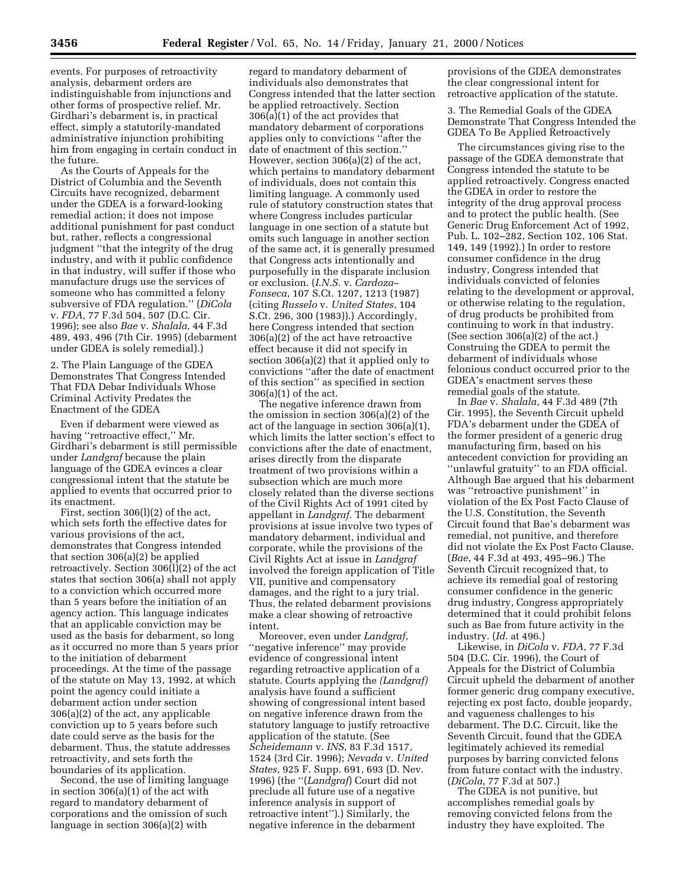events. For purposes of retroactivity analysis, debarment orders are indistinguishable from injunctions and other forms of prospective relief. Mr. Girdhari's debarment is, in practical effect, simply a statutorily-mandated administrative injunction prohibiting him from engaging in certain conduct in the future.

As the Courts of Appeals for the District of Columbia and the Seventh Circuits have recognized, debarment under the GDEA is a forward-looking remedial action; it does not impose additional punishment for past conduct but, rather, reflects a congressional judgment ''that the integrity of the drug industry, and with it public confidence in that industry, will suffer if those who manufacture drugs use the services of someone who has committed a felony subversive of FDA regulation.'' (*DiCola* v. *FDA*, 77 F.3d 504, 507 (D.C. Cir. 1996); see also *Bae* v. *Shalala*, 44 F.3d 489, 493, 496 (7th Cir. 1995) (debarment under GDEA is solely remedial).)

2. The Plain Language of the GDEA Demonstrates That Congress Intended That FDA Debar Individuals Whose Criminal Activity Predates the Enactment of the GDEA

Even if debarment were viewed as having ''retroactive effect,'' Mr. Girdhari's debarment is still permissible under *Landgraf* because the plain language of the GDEA evinces a clear congressional intent that the statute be applied to events that occurred prior to its enactment.

First, section 306(l)(2) of the act, which sets forth the effective dates for various provisions of the act, demonstrates that Congress intended that section 306(a)(2) be applied retroactively. Section 306(l)(2) of the act states that section 306(a) shall not apply to a conviction which occurred more than 5 years before the initiation of an agency action. This language indicates that an applicable conviction may be used as the basis for debarment, so long as it occurred no more than 5 years prior to the initiation of debarment proceedings. At the time of the passage of the statute on May 13, 1992, at which point the agency could initiate a debarment action under section 306(a)(2) of the act, any applicable conviction up to 5 years before such date could serve as the basis for the debarment. Thus, the statute addresses retroactivity, and sets forth the boundaries of its application.

Second, the use of limiting language in section 306(a)(1) of the act with regard to mandatory debarment of corporations and the omission of such language in section 306(a)(2) with

regard to mandatory debarment of individuals also demonstrates that Congress intended that the latter section be applied retroactively. Section 306(a)(1) of the act provides that mandatory debarment of corporations applies only to convictions ''after the date of enactment of this section.'' However, section 306(a)(2) of the act, which pertains to mandatory debarment of individuals, does not contain this limiting language. A commonly used rule of statutory construction states that where Congress includes particular language in one section of a statute but omits such language in another section of the same act, it is generally presumed that Congress acts intentionally and purposefully in the disparate inclusion or exclusion. (*I.N.S.* v. *Cardoza– Fonseca*, 107 S.Ct. 1207, 1213 (1987) (citing *Russelo* v. *United States*, 104 S.Ct. 296, 300 (1983)).) Accordingly, here Congress intended that section 306(a)(2) of the act have retroactive effect because it did not specify in section 306(a)(2) that it applied only to convictions ''after the date of enactment of this section'' as specified in section 306(a)(1) of the act.

The negative inference drawn from the omission in section 306(a)(2) of the act of the language in section 306(a)(1), which limits the latter section's effect to convictions after the date of enactment, arises directly from the disparate treatment of two provisions within a subsection which are much more closely related than the diverse sections of the Civil Rights Act of 1991 cited by appellant in *Landgraf*. The debarment provisions at issue involve two types of mandatory debarment, individual and corporate, while the provisions of the Civil Rights Act at issue in *Landgraf* involved the foreign application of Title VII, punitive and compensatory damages, and the right to a jury trial. Thus, the related debarment provisions make a clear showing of retroactive intent.

Moreover, even under *Landgraf*, ''negative inference'' may provide evidence of congressional intent regarding retroactive application of a statute. Courts applying the *(Landgraf)* analysis have found a sufficient showing of congressional intent based on negative inference drawn from the statutory language to justify retroactive application of the statute. (See *Scheidemann* v. *INS*, 83 F.3d 1517, 1524 (3rd Cir. 1996); *Nevada* v. *United States*, 925 F. Supp. 691, 693 (D. Nev. 1996) (the ''(*Landgraf*) Court did not preclude all future use of a negative inference analysis in support of retroactive intent'').) Similarly, the negative inference in the debarment

provisions of the GDEA demonstrates the clear congressional intent for retroactive application of the statute.

3. The Remedial Goals of the GDEA Demonstrate That Congress Intended the GDEA To Be Applied Retroactively

The circumstances giving rise to the passage of the GDEA demonstrate that Congress intended the statute to be applied retroactively. Congress enacted the GDEA in order to restore the integrity of the drug approval process and to protect the public health. (See Generic Drug Enforcement Act of 1992, Pub. L. 102–282, Section 102, 106 Stat. 149, 149 (1992).) In order to restore consumer confidence in the drug industry, Congress intended that individuals convicted of felonies relating to the development or approval, or otherwise relating to the regulation, of drug products be prohibited from continuing to work in that industry. (See section 306(a)(2) of the act.) Construing the GDEA to permit the debarment of individuals whose felonious conduct occurred prior to the GDEA's enactment serves these remedial goals of the statute.

In *Bae* v. *Shalala*, 44 F.3d 489 (7th Cir. 1995), the Seventh Circuit upheld FDA's debarment under the GDEA of the former president of a generic drug manufacturing firm, based on his antecedent conviction for providing an ''unlawful gratuity'' to an FDA official. Although Bae argued that his debarment was ''retroactive punishment'' in violation of the Ex Post Facto Clause of the U.S. Constitution, the Seventh Circuit found that Bae's debarment was remedial, not punitive, and therefore did not violate the Ex Post Facto Clause. (*Bae*, 44 F.3d at 493, 495–96.) The Seventh Circuit recognized that, to achieve its remedial goal of restoring consumer confidence in the generic drug industry, Congress appropriately determined that it could prohibit felons such as Bae from future activity in the industry. (*Id*. at 496.)

Likewise, in *DiCola* v. *FDA*, 77 F.3d 504 (D.C. Cir. 1996), the Court of Appeals for the District of Columbia Circuit upheld the debarment of another former generic drug company executive, rejecting ex post facto, double jeopardy, and vagueness challenges to his debarment. The D.C. Circuit, like the Seventh Circuit, found that the GDEA legitimately achieved its remedial purposes by barring convicted felons from future contact with the industry. (*DiCola*, 77 F.3d at 507.)

The GDEA is not punitive, but accomplishes remedial goals by removing convicted felons from the industry they have exploited. The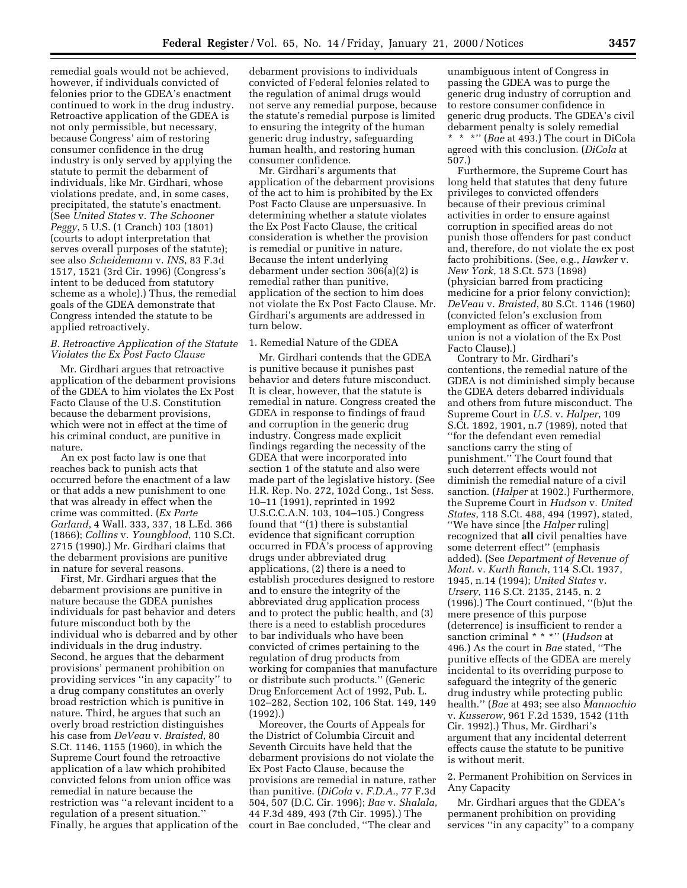remedial goals would not be achieved, however, if individuals convicted of felonies prior to the GDEA's enactment continued to work in the drug industry. Retroactive application of the GDEA is not only permissible, but necessary, because Congress' aim of restoring consumer confidence in the drug industry is only served by applying the statute to permit the debarment of individuals, like Mr. Girdhari, whose violations predate, and, in some cases, precipitated, the statute's enactment. (See *United States* v. *The Schooner Peggy*, 5 U.S. (1 Cranch) 103 (1801) (courts to adopt interpretation that serves overall purposes of the statute); see also *Scheidemann* v. *INS*, 83 F.3d 1517, 1521 (3rd Cir. 1996) (Congress's intent to be deduced from statutory scheme as a whole).) Thus, the remedial goals of the GDEA demonstrate that Congress intended the statute to be applied retroactively.

### *B. Retroactive Application of the Statute Violates the Ex Post Facto Clause*

Mr. Girdhari argues that retroactive application of the debarment provisions of the GDEA to him violates the Ex Post Facto Clause of the U.S. Constitution because the debarment provisions, which were not in effect at the time of his criminal conduct, are punitive in nature.

An ex post facto law is one that reaches back to punish acts that occurred before the enactment of a law or that adds a new punishment to one that was already in effect when the crime was committed. (*Ex Parte Garland*, 4 Wall. 333, 337, 18 L.Ed. 366 (1866); *Collins* v. *Youngblood*, 110 S.Ct. 2715 (1990).) Mr. Girdhari claims that the debarment provisions are punitive in nature for several reasons.

First, Mr. Girdhari argues that the debarment provisions are punitive in nature because the GDEA punishes individuals for past behavior and deters future misconduct both by the individual who is debarred and by other individuals in the drug industry. Second, he argues that the debarment provisions' permanent prohibition on providing services ''in any capacity'' to a drug company constitutes an overly broad restriction which is punitive in nature. Third, he argues that such an overly broad restriction distinguishes his case from *DeVeau* v. *Braisted*, 80 S.Ct. 1146, 1155 (1960), in which the Supreme Court found the retroactive application of a law which prohibited convicted felons from union office was remedial in nature because the restriction was ''a relevant incident to a regulation of a present situation.'' Finally, he argues that application of the

debarment provisions to individuals convicted of Federal felonies related to the regulation of animal drugs would not serve any remedial purpose, because the statute's remedial purpose is limited to ensuring the integrity of the human generic drug industry, safeguarding human health, and restoring human consumer confidence.

Mr. Girdhari's arguments that application of the debarment provisions of the act to him is prohibited by the Ex Post Facto Clause are unpersuasive. In determining whether a statute violates the Ex Post Facto Clause, the critical consideration is whether the provision is remedial or punitive in nature. Because the intent underlying debarment under section 306(a)(2) is remedial rather than punitive, application of the section to him does not violate the Ex Post Facto Clause. Mr. Girdhari's arguments are addressed in turn below.

### 1. Remedial Nature of the GDEA

Mr. Girdhari contends that the GDEA is punitive because it punishes past behavior and deters future misconduct. It is clear, however, that the statute is remedial in nature. Congress created the GDEA in response to findings of fraud and corruption in the generic drug industry. Congress made explicit findings regarding the necessity of the GDEA that were incorporated into section 1 of the statute and also were made part of the legislative history. (See H.R. Rep. No. 272, 102d Cong., 1st Sess. 10–11 (1991), reprinted in 1992 U.S.C.C.A.N. 103, 104–105.) Congress found that ''(1) there is substantial evidence that significant corruption occurred in FDA's process of approving drugs under abbreviated drug applications, (2) there is a need to establish procedures designed to restore and to ensure the integrity of the abbreviated drug application process and to protect the public health, and (3) there is a need to establish procedures to bar individuals who have been convicted of crimes pertaining to the regulation of drug products from working for companies that manufacture or distribute such products.'' (Generic Drug Enforcement Act of 1992, Pub. L. 102–282, Section 102, 106 Stat. 149, 149 (1992).)

Moreover, the Courts of Appeals for the District of Columbia Circuit and Seventh Circuits have held that the debarment provisions do not violate the Ex Post Facto Clause, because the provisions are remedial in nature, rather than punitive. (*DiCola* v. *F.D.A.*, 77 F.3d 504, 507 (D.C. Cir. 1996); *Bae* v. *Shalala*, 44 F.3d 489, 493 (7th Cir. 1995).) The court in Bae concluded, ''The clear and

unambiguous intent of Congress in passing the GDEA was to purge the generic drug industry of corruption and to restore consumer confidence in generic drug products. The GDEA's civil debarment penalty is solely remedial \* \* \*'' (*Bae* at 493.) The court in DiCola

agreed with this conclusion. (*DiCola* at 507.)

Furthermore, the Supreme Court has long held that statutes that deny future privileges to convicted offenders because of their previous criminal activities in order to ensure against corruption in specified areas do not punish those offenders for past conduct and, therefore, do not violate the ex post facto prohibitions. (See, e.g., *Hawker* v. *New York*, 18 S.Ct. 573 (1898) (physician barred from practicing medicine for a prior felony conviction); *DeVeau* v. *Braisted*, 80 S.Ct. 1146 (1960) (convicted felon's exclusion from employment as officer of waterfront union is not a violation of the Ex Post Facto Clause).)

Contrary to Mr. Girdhari's contentions, the remedial nature of the GDEA is not diminished simply because the GDEA deters debarred individuals and others from future misconduct. The Supreme Court in *U.S.* v. *Halper*, 109 S.Ct. 1892, 1901, n.7 (1989), noted that ''for the defendant even remedial sanctions carry the sting of punishment.'' The Court found that such deterrent effects would not diminish the remedial nature of a civil sanction. (*Halper* at 1902.) Furthermore, the Supreme Court in *Hudson* v. *United States*, 118 S.Ct. 488, 494 (1997), stated, ''We have since [the *Halper* ruling] recognized that **all** civil penalties have some deterrent effect'' (emphasis added). (See *Department of Revenue of Mont.* v. *Kurth Ranch*, 114 S.Ct. 1937, 1945, n.14 (1994); *United States* v. *Ursery*, 116 S.Ct. 2135, 2145, n. 2 (1996).) The Court continued, ''(b)ut the mere presence of this purpose (deterrence) is insufficient to render a sanction criminal \* \* \*'' (*Hudson* at 496.) As the court in *Bae* stated, ''The punitive effects of the GDEA are merely incidental to its overriding purpose to safeguard the integrity of the generic drug industry while protecting public health.'' (*Bae* at 493; see also *Mannochio* v. *Kusserow*, 961 F.2d 1539, 1542 (11th Cir. 1992).) Thus, Mr. Girdhari's argument that any incidental deterrent effects cause the statute to be punitive is without merit.

#### 2. Permanent Prohibition on Services in Any Capacity

Mr. Girdhari argues that the GDEA's permanent prohibition on providing services ''in any capacity'' to a company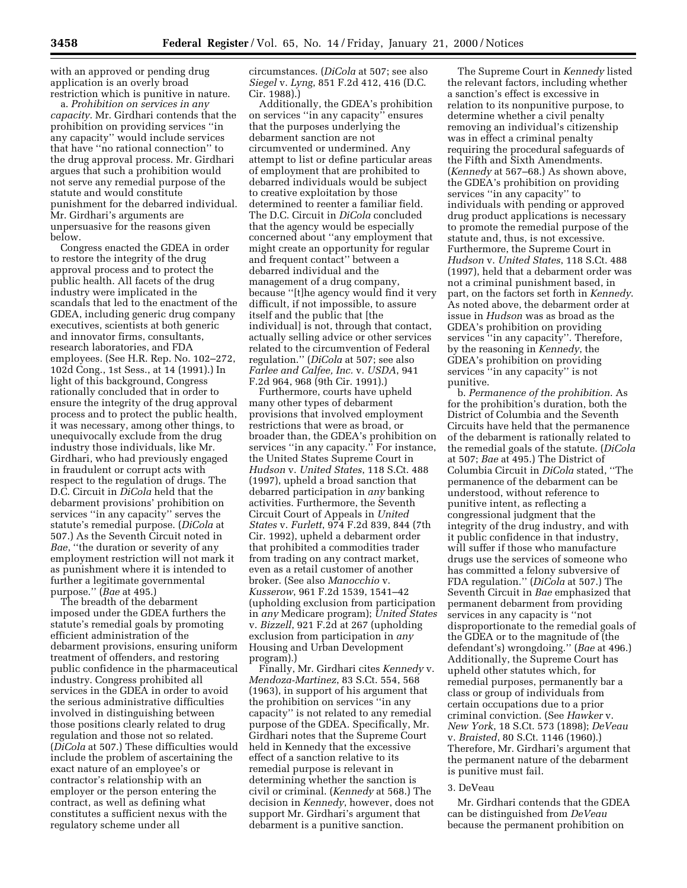with an approved or pending drug application is an overly broad restriction which is punitive in nature.

a. *Prohibition on services in any capacity*. Mr. Girdhari contends that the prohibition on providing services ''in any capacity'' would include services that have ''no rational connection'' to the drug approval process. Mr. Girdhari argues that such a prohibition would not serve any remedial purpose of the statute and would constitute punishment for the debarred individual. Mr. Girdhari's arguments are unpersuasive for the reasons given below.

Congress enacted the GDEA in order to restore the integrity of the drug approval process and to protect the public health. All facets of the drug industry were implicated in the scandals that led to the enactment of the GDEA, including generic drug company executives, scientists at both generic and innovator firms, consultants, research laboratories, and FDA employees. (See H.R. Rep. No. 102–272, 102d Cong., 1st Sess., at 14 (1991).) In light of this background, Congress rationally concluded that in order to ensure the integrity of the drug approval process and to protect the public health, it was necessary, among other things, to unequivocally exclude from the drug industry those individuals, like Mr. Girdhari, who had previously engaged in fraudulent or corrupt acts with respect to the regulation of drugs. The D.C. Circuit in *DiCola* held that the debarment provisions' prohibition on services ''in any capacity'' serves the statute's remedial purpose. (*DiCola* at 507.) As the Seventh Circuit noted in *Bae*, ''the duration or severity of any employment restriction will not mark it as punishment where it is intended to further a legitimate governmental purpose.'' (*Bae* at 495.)

The breadth of the debarment imposed under the GDEA furthers the statute's remedial goals by promoting efficient administration of the debarment provisions, ensuring uniform treatment of offenders, and restoring public confidence in the pharmaceutical industry. Congress prohibited all services in the GDEA in order to avoid the serious administrative difficulties involved in distinguishing between those positions clearly related to drug regulation and those not so related. (*DiCola* at 507.) These difficulties would include the problem of ascertaining the exact nature of an employee's or contractor's relationship with an employer or the person entering the contract, as well as defining what constitutes a sufficient nexus with the regulatory scheme under all

circumstances. (*DiCola* at 507; see also *Siegel* v. *Lyng*, 851 F.2d 412, 416 (D.C. Cir. 1988).)

Additionally, the GDEA's prohibition on services ''in any capacity'' ensures that the purposes underlying the debarment sanction are not circumvented or undermined. Any attempt to list or define particular areas of employment that are prohibited to debarred individuals would be subject to creative exploitation by those determined to reenter a familiar field. The D.C. Circuit in *DiCola* concluded that the agency would be especially concerned about ''any employment that might create an opportunity for regular and frequent contact'' between a debarred individual and the management of a drug company, because ''[t]he agency would find it very difficult, if not impossible, to assure itself and the public that [the individual] is not, through that contact, actually selling advice or other services related to the circumvention of Federal regulation.'' (*DiCola* at 507; see also *Farlee and Calfee, Inc.* v. *USDA*, 941 F.2d 964, 968 (9th Cir. 1991).)

Furthermore, courts have upheld many other types of debarment provisions that involved employment restrictions that were as broad, or broader than, the GDEA's prohibition on services ''in any capacity.'' For instance, the United States Supreme Court in *Hudson* v. *United States*, 118 S.Ct. 488 (1997), upheld a broad sanction that debarred participation in *any* banking activities. Furthermore, the Seventh Circuit Court of Appeals in *United States* v. *Furlett*, 974 F.2d 839, 844 (7th Cir. 1992), upheld a debarment order that prohibited a commodities trader from trading on any contract market, even as a retail customer of another broker. (See also *Manocchio* v. *Kusserow*, 961 F.2d 1539, 1541–42 (upholding exclusion from participation in *any* Medicare program); *United States* v. *Bizzell*, 921 F.2d at 267 (upholding exclusion from participation in *any* Housing and Urban Development program).)

Finally, Mr. Girdhari cites *Kennedy* v. *Mendoza-Martinez*, 83 S.Ct. 554, 568 (1963), in support of his argument that the prohibition on services ''in any capacity'' is not related to any remedial purpose of the GDEA. Specifically, Mr. Girdhari notes that the Supreme Court held in Kennedy that the excessive effect of a sanction relative to its remedial purpose is relevant in determining whether the sanction is civil or criminal. (*Kennedy* at 568.) The decision in *Kennedy*, however, does not support Mr. Girdhari's argument that debarment is a punitive sanction.

The Supreme Court in *Kennedy* listed the relevant factors, including whether a sanction's effect is excessive in relation to its nonpunitive purpose, to determine whether a civil penalty removing an individual's citizenship was in effect a criminal penalty requiring the procedural safeguards of the Fifth and Sixth Amendments. (*Kennedy* at 567–68.) As shown above, the GDEA's prohibition on providing services ''in any capacity'' to individuals with pending or approved drug product applications is necessary to promote the remedial purpose of the statute and, thus, is not excessive. Furthermore, the Supreme Court in *Hudson* v. *United States*, 118 S.Ct. 488 (1997), held that a debarment order was not a criminal punishment based, in part, on the factors set forth in *Kennedy*. As noted above, the debarment order at issue in *Hudson* was as broad as the GDEA's prohibition on providing services "in any capacity". Therefore, by the reasoning in *Kennedy*, the GDEA's prohibition on providing services ''in any capacity'' is not punitive.

b. *Permanence of the prohibition*. As for the prohibition's duration, both the District of Columbia and the Seventh Circuits have held that the permanence of the debarment is rationally related to the remedial goals of the statute. (*DiCola* at 507; *Bae* at 495.) The District of Columbia Circuit in *DiCola* stated, ''The permanence of the debarment can be understood, without reference to punitive intent, as reflecting a congressional judgment that the integrity of the drug industry, and with it public confidence in that industry, will suffer if those who manufacture drugs use the services of someone who has committed a felony subversive of FDA regulation.'' (*DiCola* at 507.) The Seventh Circuit in *Bae* emphasized that permanent debarment from providing services in any capacity is ''not disproportionate to the remedial goals of the GDEA or to the magnitude of (the defendant's) wrongdoing.'' (*Bae* at 496.) Additionally, the Supreme Court has upheld other statutes which, for remedial purposes, permanently bar a class or group of individuals from certain occupations due to a prior criminal conviction. (See *Hawker* v. *New York*, 18 S.Ct. 573 (1898); *DeVeau* v. *Braisted*, 80 S.Ct. 1146 (1960).) Therefore, Mr. Girdhari's argument that the permanent nature of the debarment is punitive must fail.

#### 3. DeVeau

Mr. Girdhari contends that the GDEA can be distinguished from *DeVeau* because the permanent prohibition on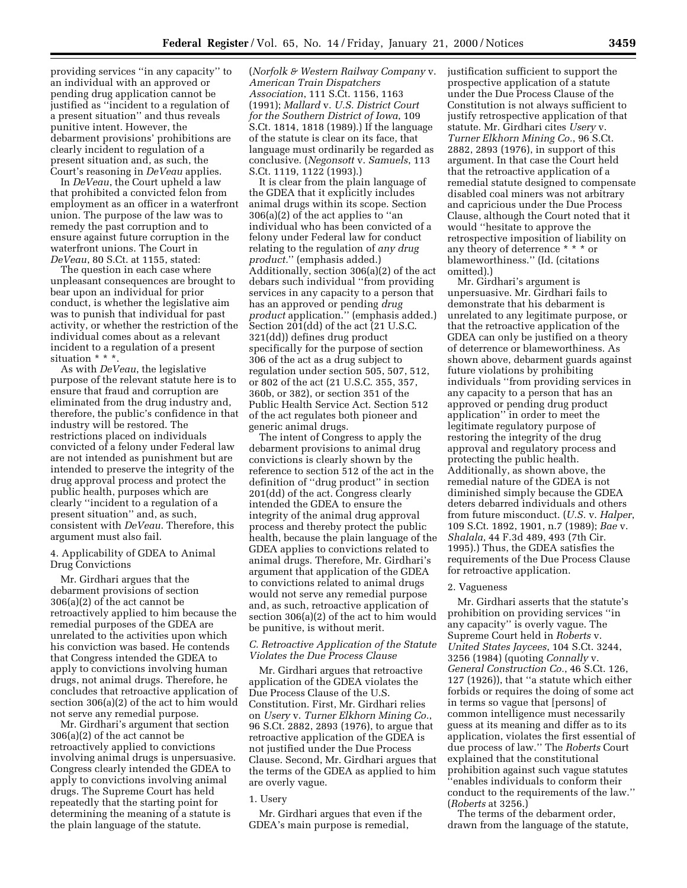providing services ''in any capacity'' to an individual with an approved or pending drug application cannot be justified as ''incident to a regulation of a present situation'' and thus reveals punitive intent. However, the debarment provisions' prohibitions are clearly incident to regulation of a present situation and, as such, the Court's reasoning in *DeVeau* applies.

In *DeVeau*, the Court upheld a law that prohibited a convicted felon from employment as an officer in a waterfront union. The purpose of the law was to remedy the past corruption and to ensure against future corruption in the waterfront unions. The Court in *DeVeau*, 80 S.Ct. at 1155, stated:

The question in each case where unpleasant consequences are brought to bear upon an individual for prior conduct, is whether the legislative aim was to punish that individual for past activity, or whether the restriction of the individual comes about as a relevant incident to a regulation of a present situation \* \* \*.

As with *DeVeau*, the legislative purpose of the relevant statute here is to ensure that fraud and corruption are eliminated from the drug industry and, therefore, the public's confidence in that industry will be restored. The restrictions placed on individuals convicted of a felony under Federal law are not intended as punishment but are intended to preserve the integrity of the drug approval process and protect the public health, purposes which are clearly ''incident to a regulation of a present situation'' and, as such, consistent with *DeVeau*. Therefore, this argument must also fail.

### 4. Applicability of GDEA to Animal Drug Convictions

Mr. Girdhari argues that the debarment provisions of section 306(a)(2) of the act cannot be retroactively applied to him because the remedial purposes of the GDEA are unrelated to the activities upon which his conviction was based. He contends that Congress intended the GDEA to apply to convictions involving human drugs, not animal drugs. Therefore, he concludes that retroactive application of section 306(a)(2) of the act to him would not serve any remedial purpose.

Mr. Girdhari's argument that section 306(a)(2) of the act cannot be retroactively applied to convictions involving animal drugs is unpersuasive. Congress clearly intended the GDEA to apply to convictions involving animal drugs. The Supreme Court has held repeatedly that the starting point for determining the meaning of a statute is the plain language of the statute.

(*Norfolk & Western Railway Company* v. *American Train Dispatchers Association*, 111 S.Ct. 1156, 1163 (1991); *Mallard* v. *U.S. District Court for the Southern District of Iowa*, 109 S.Ct. 1814, 1818 (1989).) If the language of the statute is clear on its face, that language must ordinarily be regarded as conclusive. (*Negonsott* v. *Samuels*, 113 S.Ct. 1119, 1122 (1993).)

It is clear from the plain language of the GDEA that it explicitly includes animal drugs within its scope. Section 306(a)(2) of the act applies to ''an individual who has been convicted of a felony under Federal law for conduct relating to the regulation of *any drug product.*'' (emphasis added.) Additionally, section 306(a)(2) of the act debars such individual ''from providing services in any capacity to a person that has an approved or pending *drug product* application.'' (emphasis added.) Section 201(dd) of the act (21 U.S.C. 321(dd)) defines drug product specifically for the purpose of section 306 of the act as a drug subject to regulation under section 505, 507, 512, or 802 of the act (21 U.S.C. 355, 357, 360b, or 382), or section 351 of the Public Health Service Act. Section 512 of the act regulates both pioneer and generic animal drugs.

The intent of Congress to apply the debarment provisions to animal drug convictions is clearly shown by the reference to section 512 of the act in the definition of ''drug product'' in section 201(dd) of the act. Congress clearly intended the GDEA to ensure the integrity of the animal drug approval process and thereby protect the public health, because the plain language of the GDEA applies to convictions related to animal drugs. Therefore, Mr. Girdhari's argument that application of the GDEA to convictions related to animal drugs would not serve any remedial purpose and, as such, retroactive application of section 306(a)(2) of the act to him would be punitive, is without merit.

#### *C. Retroactive Application of the Statute Violates the Due Process Clause*

Mr. Girdhari argues that retroactive application of the GDEA violates the Due Process Clause of the U.S. Constitution. First, Mr. Girdhari relies on *Usery* v. *Turner Elkhorn Mining Co.*, 96 S.Ct. 2882, 2893 (1976), to argue that retroactive application of the GDEA is not justified under the Due Process Clause. Second, Mr. Girdhari argues that the terms of the GDEA as applied to him are overly vague.

#### 1. Usery

Mr. Girdhari argues that even if the GDEA's main purpose is remedial,

justification sufficient to support the prospective application of a statute under the Due Process Clause of the Constitution is not always sufficient to justify retrospective application of that statute. Mr. Girdhari cites *Usery* v. *Turner Elkhorn Mining Co.*, 96 S.Ct. 2882, 2893 (1976), in support of this argument. In that case the Court held that the retroactive application of a remedial statute designed to compensate disabled coal miners was not arbitrary and capricious under the Due Process Clause, although the Court noted that it would ''hesitate to approve the retrospective imposition of liability on any theory of deterrence \* \* \* or blameworthiness.'' (Id. (citations omitted).)

Mr. Girdhari's argument is unpersuasive. Mr. Girdhari fails to demonstrate that his debarment is unrelated to any legitimate purpose, or that the retroactive application of the GDEA can only be justified on a theory of deterrence or blameworthiness. As shown above, debarment guards against future violations by prohibiting individuals ''from providing services in any capacity to a person that has an approved or pending drug product application'' in order to meet the legitimate regulatory purpose of restoring the integrity of the drug approval and regulatory process and protecting the public health. Additionally, as shown above, the remedial nature of the GDEA is not diminished simply because the GDEA deters debarred individuals and others from future misconduct. (*U.S.* v. *Halper*, 109 S.Ct. 1892, 1901, n.7 (1989); *Bae* v. *Shalala*, 44 F.3d 489, 493 (7th Cir. 1995).) Thus, the GDEA satisfies the requirements of the Due Process Clause for retroactive application.

#### 2. Vagueness

Mr. Girdhari asserts that the statute's prohibition on providing services ''in any capacity'' is overly vague. The Supreme Court held in *Roberts* v. *United States Jaycees*, 104 S.Ct. 3244, 3256 (1984) (quoting *Connally* v. *General Construction Co.*, 46 S.Ct. 126, 127 (1926)), that ''a statute which either forbids or requires the doing of some act in terms so vague that [persons] of common intelligence must necessarily guess at its meaning and differ as to its application, violates the first essential of due process of law.'' The *Roberts* Court explained that the constitutional prohibition against such vague statutes ''enables individuals to conform their conduct to the requirements of the law.'' (*Roberts* at 3256.)

The terms of the debarment order, drawn from the language of the statute,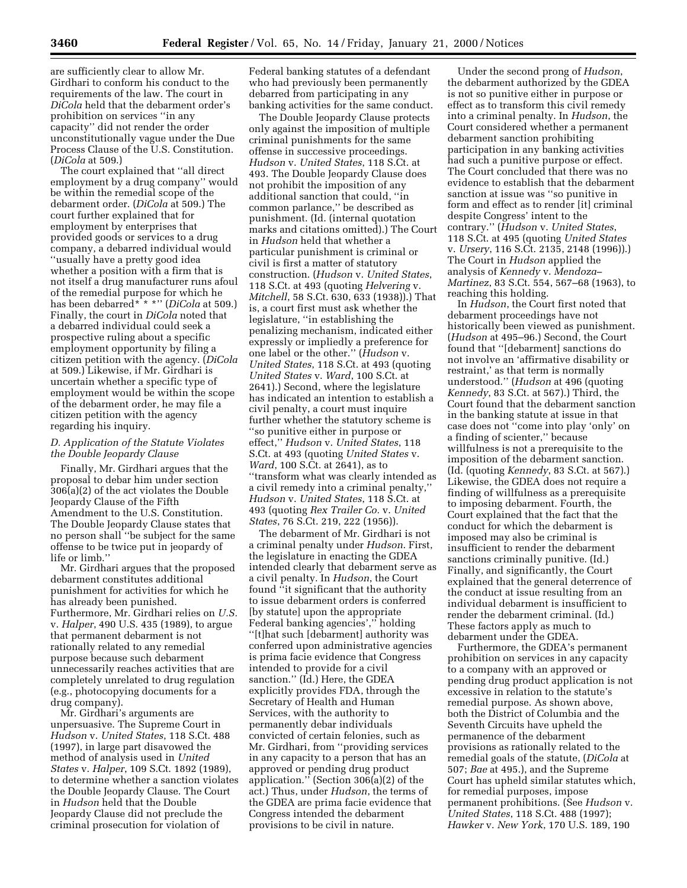are sufficiently clear to allow Mr. Girdhari to conform his conduct to the requirements of the law. The court in *DiCola* held that the debarment order's prohibition on services ''in any capacity'' did not render the order unconstitutionally vague under the Due Process Clause of the U.S. Constitution. (*DiCola* at 509.)

The court explained that ''all direct employment by a drug company'' would be within the remedial scope of the debarment order. (*DiCola* at 509.) The court further explained that for employment by enterprises that provided goods or services to a drug company, a debarred individual would ''usually have a pretty good idea whether a position with a firm that is not itself a drug manufacturer runs afoul of the remedial purpose for which he has been debarred\* \* \*'' (*DiCola* at 509.) Finally, the court in *DiCola* noted that a debarred individual could seek a prospective ruling about a specific employment opportunity by filing a citizen petition with the agency. (*DiCola* at 509.) Likewise, if Mr. Girdhari is uncertain whether a specific type of employment would be within the scope of the debarment order, he may file a citizen petition with the agency regarding his inquiry.

### *D. Application of the Statute Violates the Double Jeopardy Clause*

Finally, Mr. Girdhari argues that the proposal to debar him under section 306(a)(2) of the act violates the Double Jeopardy Clause of the Fifth Amendment to the U.S. Constitution. The Double Jeopardy Clause states that no person shall ''be subject for the same offense to be twice put in jeopardy of life or limb.''

Mr. Girdhari argues that the proposed debarment constitutes additional punishment for activities for which he has already been punished. Furthermore, Mr. Girdhari relies on *U.S.* v. *Halper*, 490 U.S. 435 (1989), to argue that permanent debarment is not rationally related to any remedial purpose because such debarment unnecessarily reaches activities that are completely unrelated to drug regulation (e.g., photocopying documents for a drug company).

Mr. Girdhari's arguments are unpersuasive. The Supreme Court in *Hudson* v. *United States*, 118 S.Ct. 488 (1997), in large part disavowed the method of analysis used in *United States* v. *Halper*, 109 S.Ct. 1892 (1989), to determine whether a sanction violates the Double Jeopardy Clause. The Court in *Hudson* held that the Double Jeopardy Clause did not preclude the criminal prosecution for violation of

Federal banking statutes of a defendant who had previously been permanently debarred from participating in any banking activities for the same conduct.

The Double Jeopardy Clause protects only against the imposition of multiple criminal punishments for the same offense in successive proceedings. *Hudson* v. *United States*, 118 S.Ct. at 493. The Double Jeopardy Clause does not prohibit the imposition of any additional sanction that could, ''in common parlance,'' be described as punishment. (Id. (internal quotation marks and citations omitted).) The Court in *Hudson* held that whether a particular punishment is criminal or civil is first a matter of statutory construction. (*Hudson* v. *United States*, 118 S.Ct. at 493 (quoting *Helvering* v. *Mitchell*, 58 S.Ct. 630, 633 (1938)).) That is, a court first must ask whether the legislature, ''in establishing the penalizing mechanism, indicated either expressly or impliedly a preference for one label or the other.'' (*Hudson* v. *United States*, 118 S.Ct. at 493 (quoting *United States* v. *Ward*, 100 S.Ct. at 2641).) Second, where the legislature has indicated an intention to establish a civil penalty, a court must inquire further whether the statutory scheme is ''so punitive either in purpose or effect,'' *Hudson* v. *United States*, 118 S.Ct. at 493 (quoting *United States* v. *Ward*, 100 S.Ct. at 2641), as to ''transform what was clearly intended as a civil remedy into a criminal penalty,'' *Hudson* v. *United States*, 118 S.Ct. at 493 (quoting *Rex Trailer Co.* v. *United States*, 76 S.Ct. 219, 222 (1956)).

The debarment of Mr. Girdhari is not a criminal penalty under *Hudson*. First, the legislature in enacting the GDEA intended clearly that debarment serve as a civil penalty. In *Hudson*, the Court found ''it significant that the authority to issue debarment orders is conferred [by statute] upon the appropriate Federal banking agencies','' holding ''[t]hat such [debarment] authority was conferred upon administrative agencies is prima facie evidence that Congress intended to provide for a civil sanction.'' (Id.) Here, the GDEA explicitly provides FDA, through the Secretary of Health and Human Services, with the authority to permanently debar individuals convicted of certain felonies, such as Mr. Girdhari, from ''providing services in any capacity to a person that has an approved or pending drug product application.'' (Section 306(a)(2) of the act.) Thus, under *Hudson*, the terms of the GDEA are prima facie evidence that Congress intended the debarment provisions to be civil in nature.

Under the second prong of *Hudson*, the debarment authorized by the GDEA is not so punitive either in purpose or effect as to transform this civil remedy into a criminal penalty. In *Hudson*, the Court considered whether a permanent debarment sanction prohibiting participation in any banking activities had such a punitive purpose or effect. The Court concluded that there was no evidence to establish that the debarment sanction at issue was ''so punitive in form and effect as to render [it] criminal despite Congress' intent to the contrary.'' (*Hudson* v. *United States*, 118 S.Ct. at 495 (quoting *United States* v. *Ursery*, 116 S.Ct. 2135, 2148 (1996)).) The Court in *Hudson* applied the analysis of *Kennedy* v. *Mendoza– Martinez*, 83 S.Ct. 554, 567–68 (1963), to reaching this holding.

In *Hudson*, the Court first noted that debarment proceedings have not historically been viewed as punishment. (*Hudson* at 495–96.) Second, the Court found that ''[debarment] sanctions do not involve an 'affirmative disability or restraint,' as that term is normally understood.'' (*Hudson* at 496 (quoting *Kennedy*, 83 S.Ct. at 567).) Third, the Court found that the debarment sanction in the banking statute at issue in that case does not ''come into play 'only' on a finding of scienter,'' because willfulness is not a prerequisite to the imposition of the debarment sanction. (Id. (quoting *Kennedy*, 83 S.Ct. at 567).) Likewise, the GDEA does not require a finding of willfulness as a prerequisite to imposing debarment. Fourth, the Court explained that the fact that the conduct for which the debarment is imposed may also be criminal is insufficient to render the debarment sanctions criminally punitive. (Id.) Finally, and significantly, the Court explained that the general deterrence of the conduct at issue resulting from an individual debarment is insufficient to render the debarment criminal. (Id.) These factors apply as much to debarment under the GDEA.

Furthermore, the GDEA's permanent prohibition on services in any capacity to a company with an approved or pending drug product application is not excessive in relation to the statute's remedial purpose. As shown above, both the District of Columbia and the Seventh Circuits have upheld the permanence of the debarment provisions as rationally related to the remedial goals of the statute, (*DiCola* at 507; *Bae* at 495.), and the Supreme Court has upheld similar statutes which, for remedial purposes, impose permanent prohibitions. (See *Hudson* v. *United States*, 118 S.Ct. 488 (1997); *Hawker* v. *New York*, 170 U.S. 189, 190